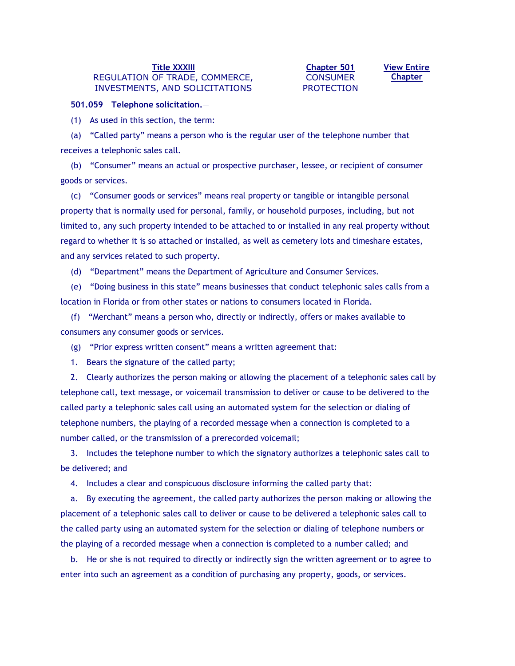## **[Title XXXIII](http://www.leg.state.fl.us/statutes/index.cfm?App_mode=Display_Index&Title_Request=XXXIII#TitleXXXIII)** REGULATION OF TRADE, COMMERCE, INVESTMENTS, AND SOLICITATIONS

## **[Chapter 501](http://www.leg.state.fl.us/statutes/index.cfm?App_mode=Display_Statute&URL=0500-0599/0501/0501ContentsIndex.html) CONSUMER** PROTECTION

**[View Entire](http://www.leg.state.fl.us/statutes/index.cfm?App_mode=Display_Statute&URL=0500-0599/0501/0501.html)  [Chapter](http://www.leg.state.fl.us/statutes/index.cfm?App_mode=Display_Statute&URL=0500-0599/0501/0501.html)**

## **501.059 Telephone solicitation.**—

(1) As used in this section, the term:

(a) "Called party" means a person who is the regular user of the telephone number that receives a telephonic sales call.

(b) "Consumer" means an actual or prospective purchaser, lessee, or recipient of consumer goods or services.

(c) "Consumer goods or services" means real property or tangible or intangible personal property that is normally used for personal, family, or household purposes, including, but not limited to, any such property intended to be attached to or installed in any real property without regard to whether it is so attached or installed, as well as cemetery lots and timeshare estates, and any services related to such property.

(d) "Department" means the Department of Agriculture and Consumer Services.

(e) "Doing business in this state" means businesses that conduct telephonic sales calls from a location in Florida or from other states or nations to consumers located in Florida.

(f) "Merchant" means a person who, directly or indirectly, offers or makes available to consumers any consumer goods or services.

(g) "Prior express written consent" means a written agreement that:

1. Bears the signature of the called party;

2. Clearly authorizes the person making or allowing the placement of a telephonic sales call by telephone call, text message, or voicemail transmission to deliver or cause to be delivered to the called party a telephonic sales call using an automated system for the selection or dialing of telephone numbers, the playing of a recorded message when a connection is completed to a number called, or the transmission of a prerecorded voicemail;

3. Includes the telephone number to which the signatory authorizes a telephonic sales call to be delivered; and

4. Includes a clear and conspicuous disclosure informing the called party that:

a. By executing the agreement, the called party authorizes the person making or allowing the placement of a telephonic sales call to deliver or cause to be delivered a telephonic sales call to the called party using an automated system for the selection or dialing of telephone numbers or the playing of a recorded message when a connection is completed to a number called; and

b. He or she is not required to directly or indirectly sign the written agreement or to agree to enter into such an agreement as a condition of purchasing any property, goods, or services.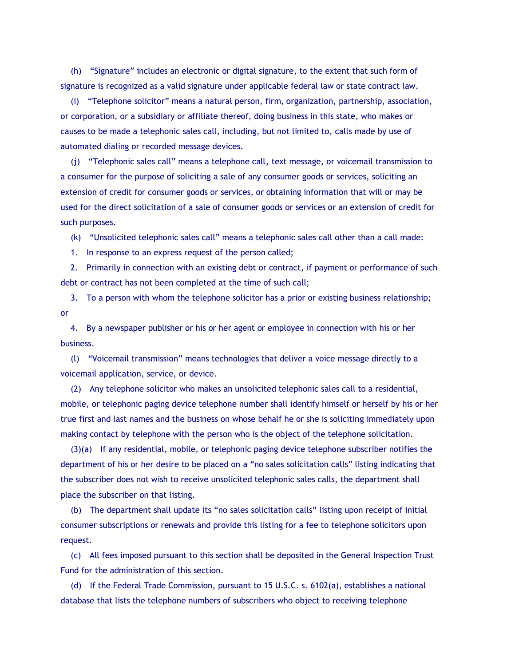(h) "Signature" includes an electronic or digital signature, to the extent that such form of signature is recognized as a valid signature under applicable federal law or state contract law.

(i) "Telephone solicitor" means a natural person, firm, organization, partnership, association, or corporation, or a subsidiary or affiliate thereof, doing business in this state, who makes or causes to be made a telephonic sales call, including, but not limited to, calls made by use of automated dialing or recorded message devices.

(j) "Telephonic sales call" means a telephone call, text message, or voicemail transmission to a consumer for the purpose of soliciting a sale of any consumer goods or services, soliciting an extension of credit for consumer goods or services, or obtaining information that will or may be used for the direct solicitation of a sale of consumer goods or services or an extension of credit for such purposes.

(k) "Unsolicited telephonic sales call" means a telephonic sales call other than a call made:

1. In response to an express request of the person called;

2. Primarily in connection with an existing debt or contract, if payment or performance of such debt or contract has not been completed at the time of such call;

3. To a person with whom the telephone solicitor has a prior or existing business relationship; or

4. By a newspaper publisher or his or her agent or employee in connection with his or her business.

(l) "Voicemail transmission" means technologies that deliver a voice message directly to a voicemail application, service, or device.

(2) Any telephone solicitor who makes an unsolicited telephonic sales call to a residential, mobile, or telephonic paging device telephone number shall identify himself or herself by his or her true first and last names and the business on whose behalf he or she is soliciting immediately upon making contact by telephone with the person who is the object of the telephone solicitation.

(3)(a) If any residential, mobile, or telephonic paging device telephone subscriber notifies the department of his or her desire to be placed on a "no sales solicitation calls" listing indicating that the subscriber does not wish to receive unsolicited telephonic sales calls, the department shall place the subscriber on that listing.

(b) The department shall update its "no sales solicitation calls" listing upon receipt of initial consumer subscriptions or renewals and provide this listing for a fee to telephone solicitors upon request.

(c) All fees imposed pursuant to this section shall be deposited in the General Inspection Trust Fund for the administration of this section.

(d) If the Federal Trade Commission, pursuant to 15 U.S.C. s. 6102(a), establishes a national database that lists the telephone numbers of subscribers who object to receiving telephone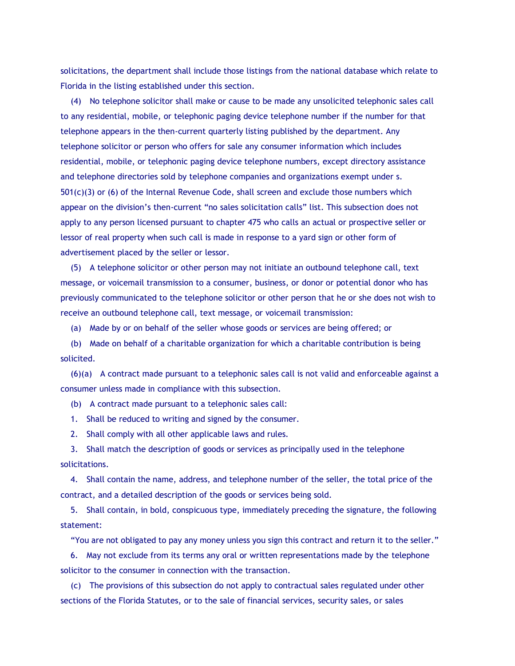solicitations, the department shall include those listings from the national database which relate to Florida in the listing established under this section.

(4) No telephone solicitor shall make or cause to be made any unsolicited telephonic sales call to any residential, mobile, or telephonic paging device telephone number if the number for that telephone appears in the then-current quarterly listing published by the department. Any telephone solicitor or person who offers for sale any consumer information which includes residential, mobile, or telephonic paging device telephone numbers, except directory assistance and telephone directories sold by telephone companies and organizations exempt under s. 501(c)(3) or (6) of the Internal Revenue Code, shall screen and exclude those numbers which appear on the division's then-current "no sales solicitation calls" list. This subsection does not apply to any person licensed pursuant to chapter 475 who calls an actual or prospective seller or lessor of real property when such call is made in response to a yard sign or other form of advertisement placed by the seller or lessor.

(5) A telephone solicitor or other person may not initiate an outbound telephone call, text message, or voicemail transmission to a consumer, business, or donor or potential donor who has previously communicated to the telephone solicitor or other person that he or she does not wish to receive an outbound telephone call, text message, or voicemail transmission:

(a) Made by or on behalf of the seller whose goods or services are being offered; or

(b) Made on behalf of a charitable organization for which a charitable contribution is being solicited.

(6)(a) A contract made pursuant to a telephonic sales call is not valid and enforceable against a consumer unless made in compliance with this subsection.

(b) A contract made pursuant to a telephonic sales call:

1. Shall be reduced to writing and signed by the consumer.

2. Shall comply with all other applicable laws and rules.

3. Shall match the description of goods or services as principally used in the telephone solicitations.

4. Shall contain the name, address, and telephone number of the seller, the total price of the contract, and a detailed description of the goods or services being sold.

5. Shall contain, in bold, conspicuous type, immediately preceding the signature, the following statement:

"You are not obligated to pay any money unless you sign this contract and return it to the seller."

6. May not exclude from its terms any oral or written representations made by the telephone solicitor to the consumer in connection with the transaction.

(c) The provisions of this subsection do not apply to contractual sales regulated under other sections of the Florida Statutes, or to the sale of financial services, security sales, or sales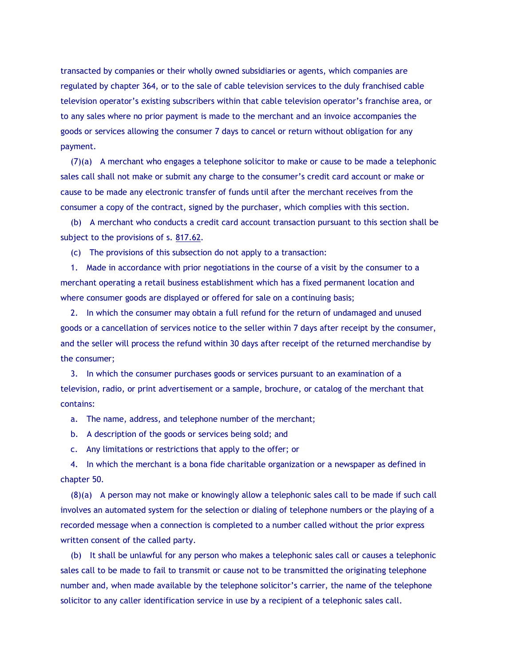transacted by companies or their wholly owned subsidiaries or agents, which companies are regulated by chapter 364, or to the sale of cable television services to the duly franchised cable television operator's existing subscribers within that cable television operator's franchise area, or to any sales where no prior payment is made to the merchant and an invoice accompanies the goods or services allowing the consumer 7 days to cancel or return without obligation for any payment.

(7)(a) A merchant who engages a telephone solicitor to make or cause to be made a telephonic sales call shall not make or submit any charge to the consumer's credit card account or make or cause to be made any electronic transfer of funds until after the merchant receives from the consumer a copy of the contract, signed by the purchaser, which complies with this section.

(b) A merchant who conducts a credit card account transaction pursuant to this section shall be subject to the provisions of s. [817.62.](http://www.leg.state.fl.us/statutes/index.cfm?App_mode=Display_Statute&Search_String=501.059&URL=0800-0899/0817/Sections/0817.62.html)

(c) The provisions of this subsection do not apply to a transaction:

1. Made in accordance with prior negotiations in the course of a visit by the consumer to a merchant operating a retail business establishment which has a fixed permanent location and where consumer goods are displayed or offered for sale on a continuing basis;

2. In which the consumer may obtain a full refund for the return of undamaged and unused goods or a cancellation of services notice to the seller within 7 days after receipt by the consumer, and the seller will process the refund within 30 days after receipt of the returned merchandise by the consumer;

3. In which the consumer purchases goods or services pursuant to an examination of a television, radio, or print advertisement or a sample, brochure, or catalog of the merchant that contains:

a. The name, address, and telephone number of the merchant;

b. A description of the goods or services being sold; and

c. Any limitations or restrictions that apply to the offer; or

4. In which the merchant is a bona fide charitable organization or a newspaper as defined in chapter 50.

(8)(a) A person may not make or knowingly allow a telephonic sales call to be made if such call involves an automated system for the selection or dialing of telephone numbers or the playing of a recorded message when a connection is completed to a number called without the prior express written consent of the called party.

(b) It shall be unlawful for any person who makes a telephonic sales call or causes a telephonic sales call to be made to fail to transmit or cause not to be transmitted the originating telephone number and, when made available by the telephone solicitor's carrier, the name of the telephone solicitor to any caller identification service in use by a recipient of a telephonic sales call.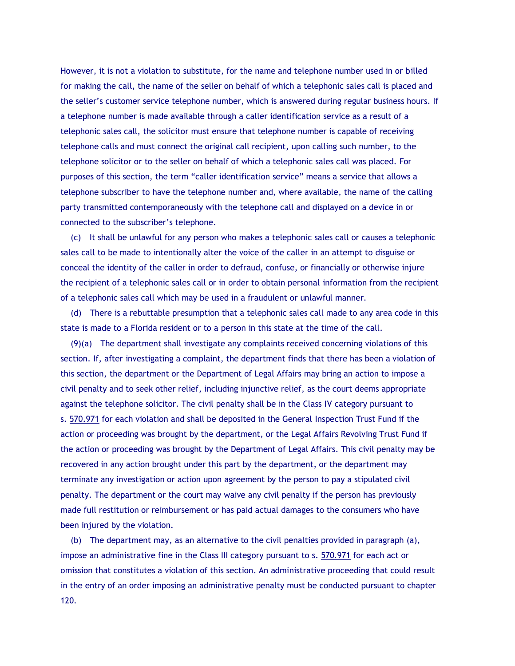However, it is not a violation to substitute, for the name and telephone number used in or billed for making the call, the name of the seller on behalf of which a telephonic sales call is placed and the seller's customer service telephone number, which is answered during regular business hours. If a telephone number is made available through a caller identification service as a result of a telephonic sales call, the solicitor must ensure that telephone number is capable of receiving telephone calls and must connect the original call recipient, upon calling such number, to the telephone solicitor or to the seller on behalf of which a telephonic sales call was placed. For purposes of this section, the term "caller identification service" means a service that allows a telephone subscriber to have the telephone number and, where available, the name of the calling party transmitted contemporaneously with the telephone call and displayed on a device in or connected to the subscriber's telephone.

(c) It shall be unlawful for any person who makes a telephonic sales call or causes a telephonic sales call to be made to intentionally alter the voice of the caller in an attempt to disguise or conceal the identity of the caller in order to defraud, confuse, or financially or otherwise injure the recipient of a telephonic sales call or in order to obtain personal information from the recipient of a telephonic sales call which may be used in a fraudulent or unlawful manner.

(d) There is a rebuttable presumption that a telephonic sales call made to any area code in this state is made to a Florida resident or to a person in this state at the time of the call.

(9)(a) The department shall investigate any complaints received concerning violations of this section. If, after investigating a complaint, the department finds that there has been a violation of this section, the department or the Department of Legal Affairs may bring an action to impose a civil penalty and to seek other relief, including injunctive relief, as the court deems appropriate against the telephone solicitor. The civil penalty shall be in the Class IV category pursuant to s. [570.971](http://www.leg.state.fl.us/statutes/index.cfm?App_mode=Display_Statute&Search_String=501.059&URL=0500-0599/0570/Sections/0570.971.html) for each violation and shall be deposited in the General Inspection Trust Fund if the action or proceeding was brought by the department, or the Legal Affairs Revolving Trust Fund if the action or proceeding was brought by the Department of Legal Affairs. This civil penalty may be recovered in any action brought under this part by the department, or the department may terminate any investigation or action upon agreement by the person to pay a stipulated civil penalty. The department or the court may waive any civil penalty if the person has previously made full restitution or reimbursement or has paid actual damages to the consumers who have been injured by the violation.

(b) The department may, as an alternative to the civil penalties provided in paragraph (a), impose an administrative fine in the Class III category pursuant to s. [570.971](http://www.leg.state.fl.us/statutes/index.cfm?App_mode=Display_Statute&Search_String=501.059&URL=0500-0599/0570/Sections/0570.971.html) for each act or omission that constitutes a violation of this section. An administrative proceeding that could result in the entry of an order imposing an administrative penalty must be conducted pursuant to chapter 120.